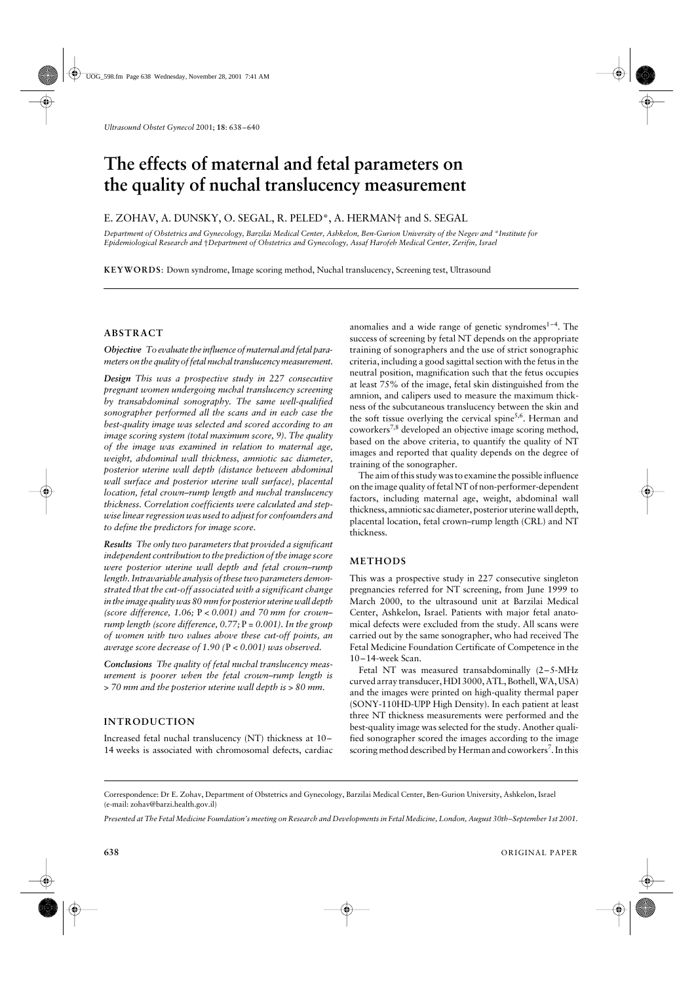# The effects of maternal and fetal parameters on **the quality of nuchal translucency measurement**

## E. ZOHAV, A. DUNSKY, O. SEGAL, R. PELED\*, A. HERMAN† and S. SEGAL

*Department of Obstetrics and Gynecology, Barzilai Medical Center, Ashkelon, Ben-Gurion University of the Negev and* \**Institute for Epidemiological Research and* †*Department of Obstetrics and Gynecology, Assaf Harofeh Medical Center, Zerifin, Israel*

**KEYWORDS**: Down syndrome, Image scoring method, Nuchal translucency, Screening test, Ultrasound

#### **ABSTRACT**

*Objective To evaluate the influence of maternal and fetal parameters on the quality of fetal nuchal translucency measurement.*

*Design This was a prospective study in 227 consecutive pregnant women undergoing nuchal translucency screening by transabdominal sonography. The same well-qualified sonographer performed all the scans and in each case the best-quality image was selected and scored according to an image scoring system (total maximum score, 9). The quality of the image was examined in relation to maternal age, weight, abdominal wall thickness, amniotic sac diameter, posterior uterine wall depth (distance between abdominal wall surface and posterior uterine wall surface), placental location, fetal crown–rump length and nuchal translucency thickness. Correlation coefficients were calculated and stepwise linear regression was used to adjust for confounders and to define the predictors for image score.*

*Results The only two parameters that provided a significant independent contribution to the prediction of the image score were posterior uterine wall depth and fetal crown–rump length. Intravariable analysis of these two parameters demonstrated that the cut-off associated with a significant change in the image quality was 80 mm for posterior uterine wall depth (score difference, 1.06;* P *< 0.001) and 70 mm for crown– rump length (score difference, 0.77;* P *= 0.001). In the group of women with two values above these cut-off points, an average score decrease of 1.90 (*P *< 0.001) was observed.*

*Conclusions The quality of fetal nuchal translucency measurement is poorer when the fetal crown–rump length is > 70 mm and the posterior uterine wall depth is > 80 mm.*

## **INTRODUCTION**

Increased fetal nuchal translucency (NT) thickness at 10– 14 weeks is associated with chromosomal defects, cardiac

anomalies and a wide range of genetic syndromes $1-4$ . The success of screening by fetal NT depends on the appropriate training of sonographers and the use of strict sonographic criteria, including a good sagittal section with the fetus in the neutral position, magnification such that the fetus occupies at least 75% of the image, fetal skin distinguished from the amnion, and calipers used to measure the maximum thickness of the subcutaneous translucency between the skin and the soft tissue overlying the cervical spine<sup>5,6</sup>. Herman and coworkers7,8 developed an objective image scoring method, based on the above criteria, to quantify the quality of NT images and reported that quality depends on the degree of training of the sonographer.

The aim of this study was to examine the possible influence on the image quality of fetal NT of non-performer-dependent factors, including maternal age, weight, abdominal wall thickness, amniotic sac diameter, posterior uterine wall depth, placental location, fetal crown–rump length (CRL) and NT thickness.

#### **METHODS**

This was a prospective study in 227 consecutive singleton pregnancies referred for NT screening, from June 1999 to March 2000, to the ultrasound unit at Barzilai Medical Center, Ashkelon, Israel. Patients with major fetal anatomical defects were excluded from the study. All scans were carried out by the same sonographer, who had received The Fetal Medicine Foundation Certificate of Competence in the 10–14-week Scan.

Fetal NT was measured transabdominally (2–5-MHz curved array transducer, HDI 3000, ATL, Bothell, WA, USA) and the images were printed on high-quality thermal paper (SONY-110HD-UPP High Density). In each patient at least three NT thickness measurements were performed and the best-quality image was selected for the study. Another qualified sonographer scored the images according to the image scoring method described by Herman and coworkers<sup>7</sup>. In this

Correspondence: Dr E. Zohav, Department of Obstetrics and Gynecology, Barzilai Medical Center, Ben-Gurion University, Ashkelon, Israel (e-mail: zohav@barzi.health.gov.il)

*Presented at The Fetal Medicine Foundation's meeting on Research and Developments in Fetal Medicine, London, August 30th–September 1st 2001.*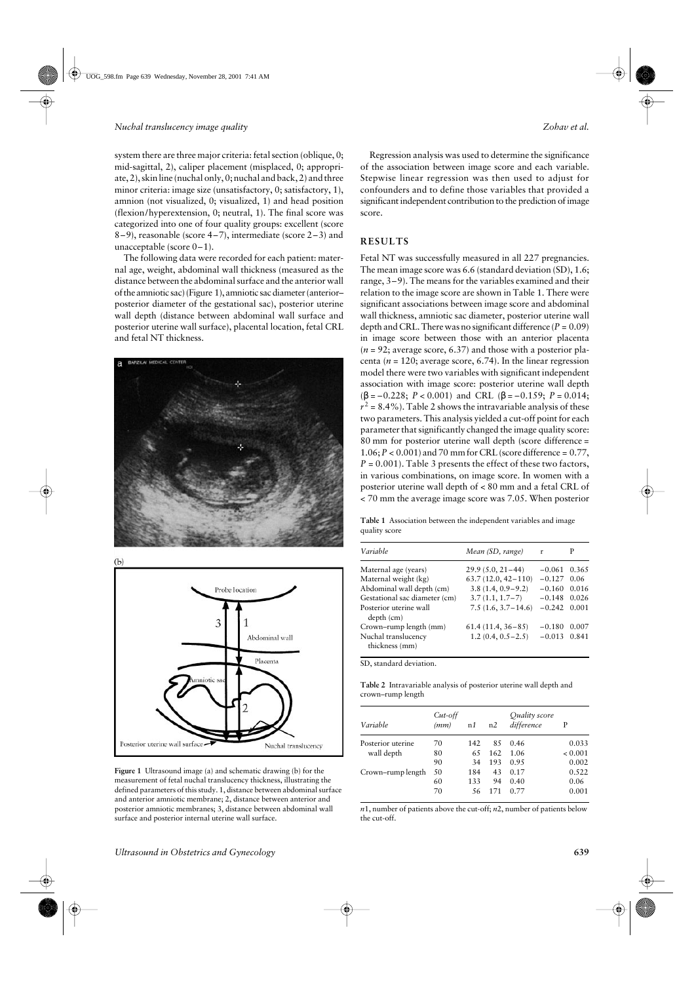system there are three major criteria: fetal section (oblique, 0; mid-sagittal, 2), caliper placement (misplaced, 0; appropriate, 2), skin line (nuchal only, 0; nuchal and back, 2) and three minor criteria: image size (unsatisfactory, 0; satisfactory, 1), amnion (not visualized, 0; visualized, 1) and head position (flexion/hyperextension, 0; neutral, 1). The final score was categorized into one of four quality groups: excellent (score 8–9), reasonable (score 4–7), intermediate (score 2–3) and unacceptable (score 0–1).

The following data were recorded for each patient: maternal age, weight, abdominal wall thickness (measured as the distance between the abdominal surface and the anterior wall of the amniotic sac) (Figure 1), amniotic sac diameter (anterior– posterior diameter of the gestational sac), posterior uterine wall depth (distance between abdominal wall surface and posterior uterine wall surface), placental location, fetal CRL and fetal NT thickness.



 $(b)$ 



**Figure 1** Ultrasound image (a) and schematic drawing (b) for the measurement of fetal nuchal translucency thickness, illustrating the defined parameters of this study. 1, distance between abdominal surface and anterior amniotic membrane; 2, distance between anterior and posterior amniotic membranes; 3, distance between abdominal wall surface and posterior internal uterine wall surface.

Regression analysis was used to determine the significance of the association between image score and each variable. Stepwise linear regression was then used to adjust for confounders and to define those variables that provided a significant independent contribution to the prediction of image score.

## **RESULTS**

Fetal NT was successfully measured in all 227 pregnancies. The mean image score was 6.6 (standard deviation (SD), 1.6; range, 3–9). The means for the variables examined and their relation to the image score are shown in Table 1. There were significant associations between image score and abdominal wall thickness, amniotic sac diameter, posterior uterine wall depth and CRL. There was no significant difference  $(P = 0.09)$ in image score between those with an anterior placenta  $(n = 92)$ ; average score, 6.37) and those with a posterior placenta ( $n = 120$ ; average score, 6.74). In the linear regression model there were two variables with significant independent association with image score: posterior uterine wall depth  $(\beta = -0.228; P < 0.001)$  and CRL  $(\beta = -0.159; P = 0.014;$  $r^2$  = 8.4%). Table 2 shows the intravariable analysis of these two parameters. This analysis yielded a cut-off point for each parameter that significantly changed the image quality score: 80 mm for posterior uterine wall depth (score difference =  $1.06; P < 0.001$  and 70 mm for CRL (score difference =  $0.77$ ,  $P = 0.001$ ). Table 3 presents the effect of these two factors, in various combinations, on image score. In women with a posterior uterine wall depth of < 80 mm and a fetal CRL of < 70 mm the average image score was 7.05. When posterior

**Table 1** Association between the independent variables and image quality score

| Variable                              | Mean (SD, range)       | r        | Р     |
|---------------------------------------|------------------------|----------|-------|
| Maternal age (years)                  | $29.9(5.0, 21-44)$     | $-0.061$ | 0.365 |
| Maternal weight (kg)                  | $63.7(12.0, 42 - 110)$ | $-0.127$ | 0.06  |
| Abdominal wall depth (cm)             | $3.8(1.4, 0.9-9.2)$    | $-0.160$ | 0.016 |
| Gestational sac diameter (cm)         | $3.7(1.1, 1.7-7)$      | $-0.148$ | 0.026 |
| Posterior uterine wall<br>depth (cm)  | $7.5(1.6, 3.7-14.6)$   | $-0.242$ | 0.001 |
| Crown-rump length (mm)                | $61.4(11.4, 36-85)$    | $-0.180$ | 0.007 |
| Nuchal translucency<br>thickness (mm) | $1.2(0.4, 0.5-2.5)$    | $-0.013$ | 0.841 |

SD, standard deviation.

**Table 2** Intravariable analysis of posterior uterine wall depth and crown–rump length

| Variable          | $Cut$ -off<br>(mm) | n1  | n2  | Quality score<br>difference | P       |
|-------------------|--------------------|-----|-----|-----------------------------|---------|
| Posterior uterine | 70                 | 142 | 85  | 0.46                        | 0.033   |
| wall depth        | 80                 | 65  | 162 | 1.06                        | < 0.001 |
|                   | 90                 | 34  | 193 | 0.95                        | 0.002   |
| Crown-rump length | 50                 | 184 | 43  | 0.17                        | 0.522   |
|                   | 60                 | 133 | 94  | 0.40                        | 0.06    |
|                   | 70                 | 56  | 171 | 0.77                        | 0.001   |

*n*1, number of patients above the cut-off; *n*2, number of patients below the cut-off.